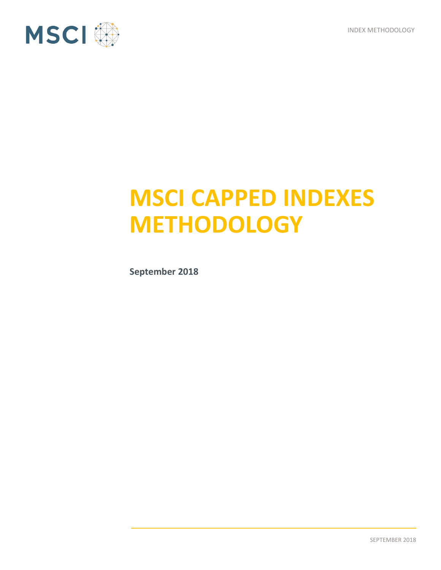INDEX METHODOLOGY



# **MSCI CAPPED INDEXES METHODOLOGY**

**September 2018**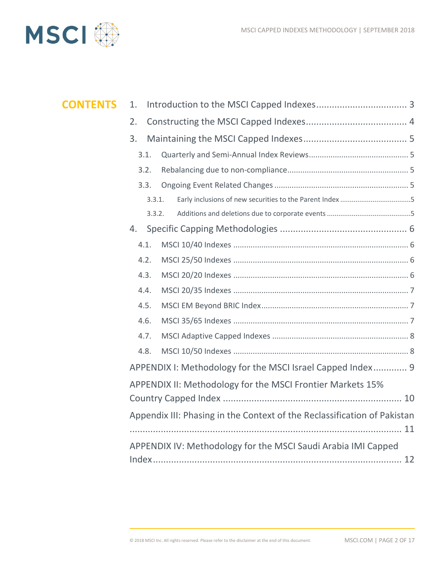

| <b>CONTENTS</b> | 1.                                                                       |
|-----------------|--------------------------------------------------------------------------|
|                 | 2.                                                                       |
|                 | 3.                                                                       |
|                 | 3.1.                                                                     |
|                 | 3.2.                                                                     |
|                 | 3.3.                                                                     |
|                 | 3.3.1.                                                                   |
|                 | 3.3.2.                                                                   |
|                 | 4.                                                                       |
|                 | 4.1.                                                                     |
|                 | 4.2.                                                                     |
|                 | 4.3.                                                                     |
|                 | 4.4.                                                                     |
|                 | 4.5.                                                                     |
|                 | 4.6.                                                                     |
|                 | 4.7.                                                                     |
|                 | 4.8.                                                                     |
|                 | APPENDIX I: Methodology for the MSCI Israel Capped Index 9               |
|                 | APPENDIX II: Methodology for the MSCI Frontier Markets 15%               |
|                 |                                                                          |
|                 | Appendix III: Phasing in the Context of the Reclassification of Pakistan |
|                 | APPENDIX IV: Methodology for the MSCI Saudi Arabia IMI Capped            |
|                 |                                                                          |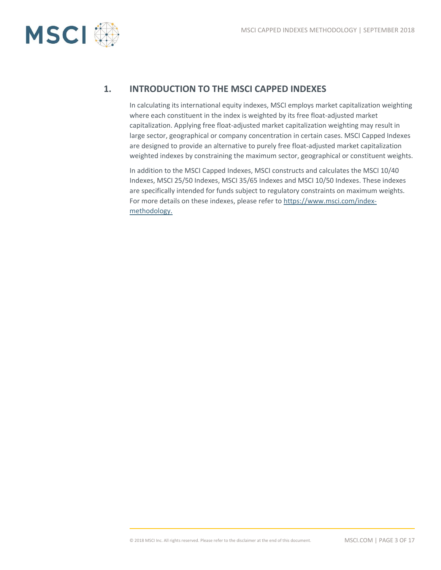

### **1. INTRODUCTION TO THE MSCI CAPPED INDEXES**

In calculating its international equity indexes, MSCI employs market capitalization weighting where each constituent in the index is weighted by its free float-adjusted market capitalization. Applying free float-adjusted market capitalization weighting may result in large sector, geographical or company concentration in certain cases. MSCI Capped Indexes are designed to provide an alternative to purely free float-adjusted market capitalization weighted indexes by constraining the maximum sector, geographical or constituent weights.

In addition to the MSCI Capped Indexes, MSCI constructs and calculates the MSCI 10/40 Indexes, MSCI 25/50 Indexes, MSCI 35/65 Indexes and MSCI 10/50 Indexes. These indexes are specifically intended for funds subject to regulatory constraints on maximum weights. For more details on these indexes, please refer to [https://www.msci.com/index](https://www.msci.com/index-methodology)[methodology.](https://www.msci.com/index-methodology)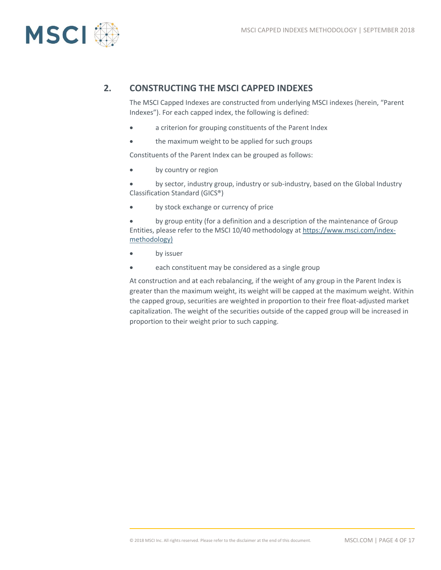

### **2. CONSTRUCTING THE MSCI CAPPED INDEXES**

The MSCI Capped Indexes are constructed from underlying MSCI indexes (herein, "Parent Indexes"). For each capped index, the following is defined:

- a criterion for grouping constituents of the Parent Index
- the maximum weight to be applied for such groups

Constituents of the Parent Index can be grouped as follows:

by country or region

 by sector, industry group, industry or sub-industry, based on the Global Industry Classification Standard (GICS®)

by stock exchange or currency of price

 by group entity (for a definition and a description of the maintenance of Group Entities, please refer to the MSCI 10/40 methodology a[t https://www.msci.com/index](https://www.msci.com/index-methodology)[methodology\)](https://www.msci.com/index-methodology)

- by issuer
- each constituent may be considered as a single group

At construction and at each rebalancing, if the weight of any group in the Parent Index is greater than the maximum weight, its weight will be capped at the maximum weight. Within the capped group, securities are weighted in proportion to their free float-adjusted market capitalization. The weight of the securities outside of the capped group will be increased in proportion to their weight prior to such capping.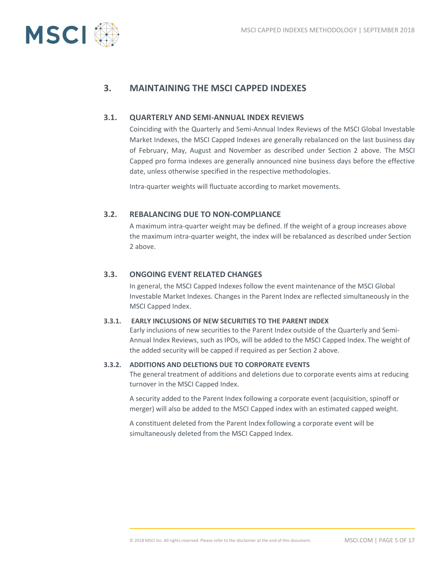

### **3. MAINTAINING THE MSCI CAPPED INDEXES**

### **3.1. QUARTERLY AND SEMI-ANNUAL INDEX REVIEWS**

Coinciding with the Quarterly and Semi-Annual Index Reviews of the MSCI Global Investable Market Indexes, the MSCI Capped Indexes are generally rebalanced on the last business day of February, May, August and November as described under Section 2 above. The MSCI Capped pro forma indexes are generally announced nine business days before the effective date, unless otherwise specified in the respective methodologies.

Intra-quarter weights will fluctuate according to market movements.

### **3.2. REBALANCING DUE TO NON-COMPLIANCE**

A maximum intra-quarter weight may be defined. If the weight of a group increases above the maximum intra-quarter weight, the index will be rebalanced as described under Section 2 above.

### **3.3. ONGOING EVENT RELATED CHANGES**

In general, the MSCI Capped Indexes follow the event maintenance of the MSCI Global Investable Market Indexes. Changes in the Parent Index are reflected simultaneously in the MSCI Capped Index.

### **3.3.1. EARLY INCLUSIONS OF NEW SECURITIES TO THE PARENT INDEX**

Early inclusions of new securities to the Parent Index outside of the Quarterly and Semi-Annual Index Reviews, such as IPOs, will be added to the MSCI Capped Index. The weight of the added security will be capped if required as per Section 2 above.

### **3.3.2. ADDITIONS AND DELETIONS DUE TO CORPORATE EVENTS**

The general treatment of additions and deletions due to corporate events aims at reducing turnover in the MSCI Capped Index.

A security added to the Parent Index following a corporate event (acquisition, spinoff or merger) will also be added to the MSCI Capped index with an estimated capped weight.

A constituent deleted from the Parent Index following a corporate event will be simultaneously deleted from the MSCI Capped Index.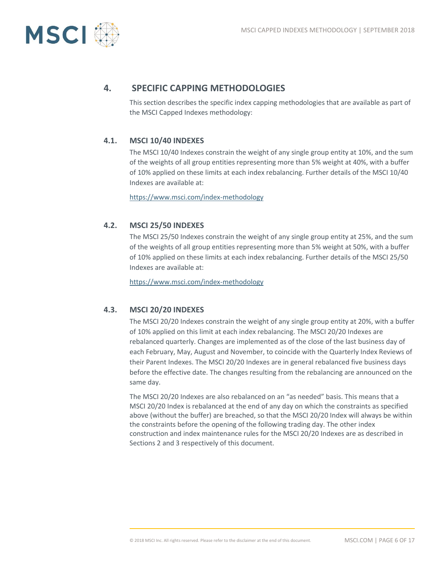

### **4. SPECIFIC CAPPING METHODOLOGIES**

This section describes the specific index capping methodologies that are available as part of the MSCI Capped Indexes methodology:

### **4.1. MSCI 10/40 INDEXES**

The MSCI 10/40 Indexes constrain the weight of any single group entity at 10%, and the sum of the weights of all group entities representing more than 5% weight at 40%, with a buffer of 10% applied on these limits at each index rebalancing. Further details of the MSCI 10/40 Indexes are available at:

<https://www.msci.com/index-methodology>

### **4.2. MSCI 25/50 INDEXES**

The MSCI 25/50 Indexes constrain the weight of any single group entity at 25%, and the sum of the weights of all group entities representing more than 5% weight at 50%, with a buffer of 10% applied on these limits at each index rebalancing. Further details of the MSCI 25/50 Indexes are available at:

<https://www.msci.com/index-methodology>

### **4.3. MSCI 20/20 INDEXES**

The MSCI 20/20 Indexes constrain the weight of any single group entity at 20%, with a buffer of 10% applied on this limit at each index rebalancing. The MSCI 20/20 Indexes are rebalanced quarterly. Changes are implemented as of the close of the last business day of each February, May, August and November, to coincide with the Quarterly Index Reviews of their Parent Indexes. The MSCI 20/20 Indexes are in general rebalanced five business days before the effective date. The changes resulting from the rebalancing are announced on the same day.

The MSCI 20/20 Indexes are also rebalanced on an "as needed" basis. This means that a MSCI 20/20 Index is rebalanced at the end of any day on which the constraints as specified above (without the buffer) are breached, so that the MSCI 20/20 Index will always be within the constraints before the opening of the following trading day. The other index construction and index maintenance rules for the MSCI 20/20 Indexes are as described in Sections 2 and 3 respectively of this document.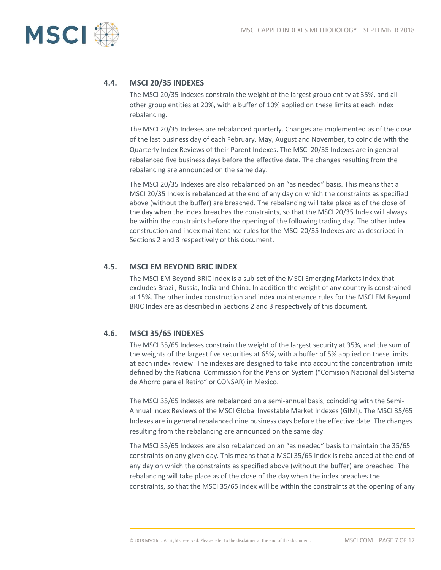

### **4.4. MSCI 20/35 INDEXES**

The MSCI 20/35 Indexes constrain the weight of the largest group entity at 35%, and all other group entities at 20%, with a buffer of 10% applied on these limits at each index rebalancing.

The MSCI 20/35 Indexes are rebalanced quarterly. Changes are implemented as of the close of the last business day of each February, May, August and November, to coincide with the Quarterly Index Reviews of their Parent Indexes. The MSCI 20/35 Indexes are in general rebalanced five business days before the effective date. The changes resulting from the rebalancing are announced on the same day.

The MSCI 20/35 Indexes are also rebalanced on an "as needed" basis. This means that a MSCI 20/35 Index is rebalanced at the end of any day on which the constraints as specified above (without the buffer) are breached. The rebalancing will take place as of the close of the day when the index breaches the constraints, so that the MSCI 20/35 Index will always be within the constraints before the opening of the following trading day. The other index construction and index maintenance rules for the MSCI 20/35 Indexes are as described in Sections 2 and 3 respectively of this document.

### **4.5. MSCI EM BEYOND BRIC INDEX**

The MSCI EM Beyond BRIC Index is a sub-set of the MSCI Emerging Markets Index that excludes Brazil, Russia, India and China. In addition the weight of any country is constrained at 15%. The other index construction and index maintenance rules for the MSCI EM Beyond BRIC Index are as described in Sections 2 and 3 respectively of this document.

### **4.6. MSCI 35/65 INDEXES**

The MSCI 35/65 Indexes constrain the weight of the largest security at 35%, and the sum of the weights of the largest five securities at 65%, with a buffer of 5% applied on these limits at each index review. The indexes are designed to take into account the concentration limits defined by the National Commission for the Pension System ("Comision Nacional del Sistema de Ahorro para el Retiro" or CONSAR) in Mexico.

The MSCI 35/65 Indexes are rebalanced on a semi-annual basis, coinciding with the Semi-Annual Index Reviews of the MSCI Global Investable Market Indexes (GIMI). The MSCI 35/65 Indexes are in general rebalanced nine business days before the effective date. The changes resulting from the rebalancing are announced on the same day.

The MSCI 35/65 Indexes are also rebalanced on an "as needed" basis to maintain the 35/65 constraints on any given day. This means that a MSCI 35/65 Index is rebalanced at the end of any day on which the constraints as specified above (without the buffer) are breached. The rebalancing will take place as of the close of the day when the index breaches the constraints, so that the MSCI 35/65 Index will be within the constraints at the opening of any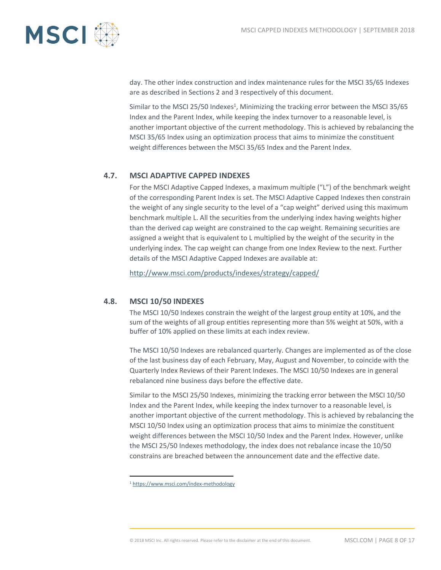

day. The other index construction and index maintenance rules for the MSCI 35/65 Indexes are as described in Sections 2 and 3 respectively of this document.

Similar to the MSCI 25/50 Indexes<sup>1</sup>, Minimizing the tracking error between the MSCI 35/65 Index and the Parent Index, while keeping the index turnover to a reasonable level, is another important objective of the current methodology. This is achieved by rebalancing the MSCI 35/65 Index using an optimization process that aims to minimize the constituent weight differences between the MSCI 35/65 Index and the Parent Index.

### **4.7. MSCI ADAPTIVE CAPPED INDEXES**

For the MSCI Adaptive Capped Indexes, a maximum multiple ("L") of the benchmark weight of the corresponding Parent Index is set. The MSCI Adaptive Capped Indexes then constrain the weight of any single security to the level of a "cap weight" derived using this maximum benchmark multiple L. All the securities from the underlying index having weights higher than the derived cap weight are constrained to the cap weight. Remaining securities are assigned a weight that is equivalent to L multiplied by the weight of the security in the underlying index. The cap weight can change from one Index Review to the next. Further details of the MSCI Adaptive Capped Indexes are available at:

<http://www.msci.com/products/indexes/strategy/capped/>

### **4.8. MSCI 10/50 INDEXES**

The MSCI 10/50 Indexes constrain the weight of the largest group entity at 10%, and the sum of the weights of all group entities representing more than 5% weight at 50%, with a buffer of 10% applied on these limits at each index review.

The MSCI 10/50 Indexes are rebalanced quarterly. Changes are implemented as of the close of the last business day of each February, May, August and November, to coincide with the Quarterly Index Reviews of their Parent Indexes. The MSCI 10/50 Indexes are in general rebalanced nine business days before the effective date.

Similar to the MSCI 25/50 Indexes, minimizing the tracking error between the MSCI 10/50 Index and the Parent Index, while keeping the index turnover to a reasonable level, is another important objective of the current methodology. This is achieved by rebalancing the MSCI 10/50 Index using an optimization process that aims to minimize the constituent weight differences between the MSCI 10/50 Index and the Parent Index. However, unlike the MSCI 25/50 Indexes methodology, the index does not rebalance incase the 10/50 constrains are breached between the announcement date and the effective date.

 $\overline{a}$ 

<sup>1</sup> <https://www.msci.com/index-methodology>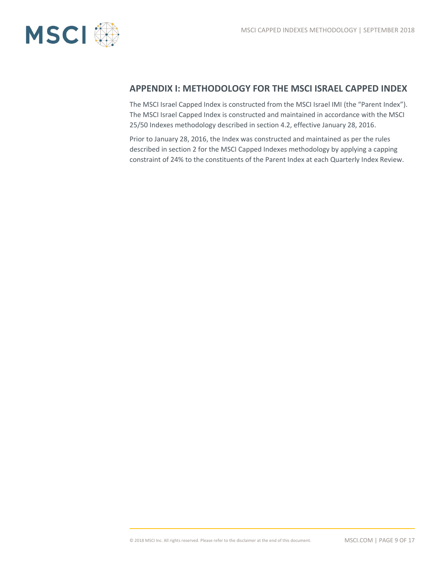

### **APPENDIX I: METHODOLOGY FOR THE MSCI ISRAEL CAPPED INDEX**

The MSCI Israel Capped Index is constructed from the MSCI Israel IMI (the "Parent Index"). The MSCI Israel Capped Index is constructed and maintained in accordance with the MSCI 25/50 Indexes methodology described in section 4.2, effective January 28, 2016.

Prior to January 28, 2016, the Index was constructed and maintained as per the rules described in section 2 for the MSCI Capped Indexes methodology by applying a capping constraint of 24% to the constituents of the Parent Index at each Quarterly Index Review.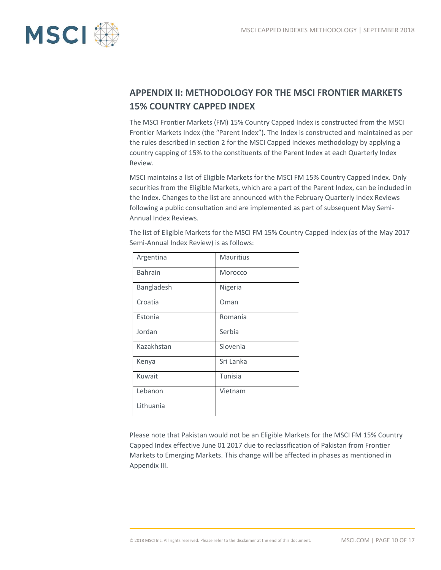

# **APPENDIX II: METHODOLOGY FOR THE MSCI FRONTIER MARKETS 15% COUNTRY CAPPED INDEX**

The MSCI Frontier Markets (FM) 15% Country Capped Index is constructed from the MSCI Frontier Markets Index (the "Parent Index"). The Index is constructed and maintained as per the rules described in section 2 for the MSCI Capped Indexes methodology by applying a country capping of 15% to the constituents of the Parent Index at each Quarterly Index Review.

MSCI maintains a list of Eligible Markets for the MSCI FM 15% Country Capped Index. Only securities from the Eligible Markets, which are a part of the Parent Index, can be included in the Index. Changes to the list are announced with the February Quarterly Index Reviews following a public consultation and are implemented as part of subsequent May Semi-Annual Index Reviews.

| Argentina      | <b>Mauritius</b> |
|----------------|------------------|
| <b>Bahrain</b> | Morocco          |
| Bangladesh     | Nigeria          |
| Croatia        | Oman             |
| Estonia        | Romania          |
| Jordan         | Serbia           |
| Kazakhstan     | Slovenia         |
| Kenya          | Sri Lanka        |
| Kuwait         | Tunisia          |
| Lebanon        | Vietnam          |
| Lithuania      |                  |

The list of Eligible Markets for the MSCI FM 15% Country Capped Index (as of the May 2017 Semi-Annual Index Review) is as follows:

Please note that Pakistan would not be an Eligible Markets for the MSCI FM 15% Country Capped Index effective June 01 2017 due to reclassification of Pakistan from Frontier Markets to Emerging Markets. This change will be affected in phases as mentioned in Appendix III.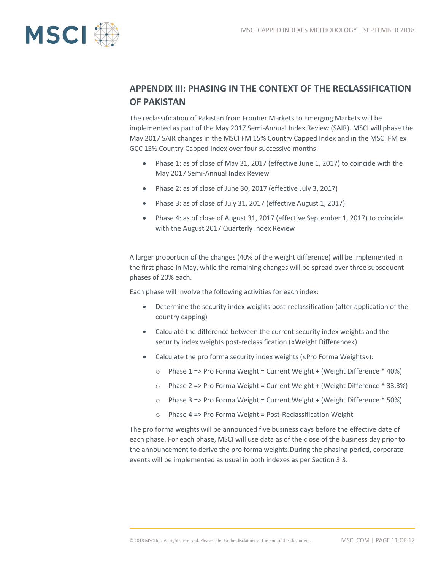

# **APPENDIX III: PHASING IN THE CONTEXT OF THE RECLASSIFICATION OF PAKISTAN**

The reclassification of Pakistan from Frontier Markets to Emerging Markets will be implemented as part of the May 2017 Semi-Annual Index Review (SAIR). MSCI will phase the May 2017 SAIR changes in the MSCI FM 15% Country Capped Index and in the MSCI FM ex GCC 15% Country Capped Index over four successive months:

- Phase 1: as of close of May 31, 2017 (effective June 1, 2017) to coincide with the May 2017 Semi-Annual Index Review
- Phase 2: as of close of June 30, 2017 (effective July 3, 2017)
- Phase 3: as of close of July 31, 2017 (effective August 1, 2017)
- Phase 4: as of close of August 31, 2017 (effective September 1, 2017) to coincide with the August 2017 Quarterly Index Review

A larger proportion of the changes (40% of the weight difference) will be implemented in the first phase in May, while the remaining changes will be spread over three subsequent phases of 20% each.

Each phase will involve the following activities for each index:

- Determine the security index weights post-reclassification (after application of the country capping)
- Calculate the difference between the current security index weights and the security index weights post-reclassification («Weight Difference»)
- Calculate the pro forma security index weights («Pro Forma Weights»):
	- o Phase 1 => Pro Forma Weight = Current Weight + (Weight Difference \* 40%)
	- o Phase 2 => Pro Forma Weight = Current Weight + (Weight Difference \* 33.3%)
	- o Phase 3 => Pro Forma Weight = Current Weight + (Weight Difference \* 50%)
	- o Phase 4 => Pro Forma Weight = Post-Reclassification Weight

The pro forma weights will be announced five business days before the effective date of each phase. For each phase, MSCI will use data as of the close of the business day prior to the announcement to derive the pro forma weights.During the phasing period, corporate events will be implemented as usual in both indexes as per Section 3.3.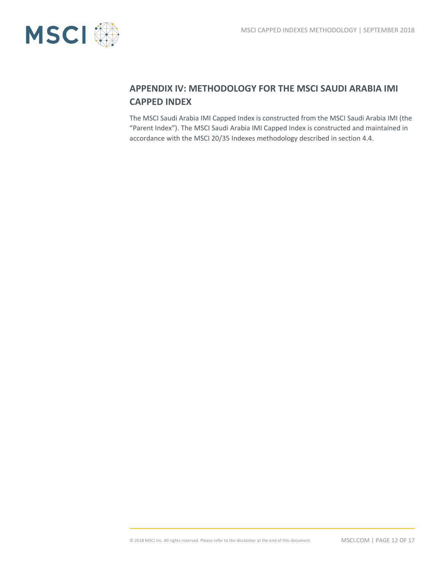

# **APPENDIX IV: METHODOLOGY FOR THE MSCI SAUDI ARABIA IMI CAPPED INDEX**

The MSCI Saudi Arabia IMI Capped Index is constructed from the MSCI Saudi Arabia IMI (the "Parent Index"). The MSCI Saudi Arabia IMI Capped Index is constructed and maintained in accordance with the MSCI 20/35 Indexes methodology described in section 4.4.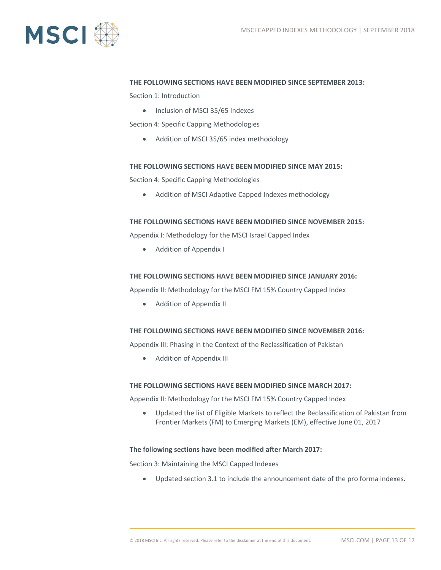

### **THE FOLLOWING SECTIONS HAVE BEEN MODIFIED SINCE SEPTEMBER 2013:**

Section 1: Introduction

• Inclusion of MSCI 35/65 Indexes

Section 4: Specific Capping Methodologies

• Addition of MSCI 35/65 index methodology

### **THE FOLLOWING SECTIONS HAVE BEEN MODIFIED SINCE MAY 2015:**

Section 4: Specific Capping Methodologies

Addition of MSCI Adaptive Capped Indexes methodology

### **THE FOLLOWING SECTIONS HAVE BEEN MODIFIED SINCE NOVEMBER 2015:**

Appendix I: Methodology for the MSCI Israel Capped Index

Addition of Appendix I

### **THE FOLLOWING SECTIONS HAVE BEEN MODIFIED SINCE JANUARY 2016:**

Appendix II: Methodology for the MSCI FM 15% Country Capped Index

Addition of Appendix II

### **THE FOLLOWING SECTIONS HAVE BEEN MODIFIED SINCE NOVEMBER 2016:**

Appendix III: Phasing in the Context of the Reclassification of Pakistan

• Addition of Appendix III

### **THE FOLLOWING SECTIONS HAVE BEEN MODIFIED SINCE MARCH 2017:**

Appendix II: Methodology for the MSCI FM 15% Country Capped Index

 Updated the list of Eligible Markets to reflect the Reclassification of Pakistan from Frontier Markets (FM) to Emerging Markets (EM), effective June 01, 2017

### **The following sections have been modified after March 2017:**

Section 3: Maintaining the MSCI Capped Indexes

Updated section 3.1 to include the announcement date of the pro forma indexes.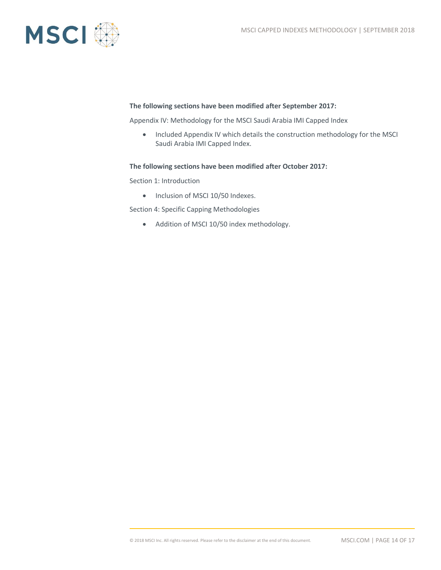

#### **The following sections have been modified after September 2017:**

Appendix IV: Methodology for the MSCI Saudi Arabia IMI Capped Index

• Included Appendix IV which details the construction methodology for the MSCI Saudi Arabia IMI Capped Index.

### **The following sections have been modified after October 2017:**

Section 1: Introduction

• Inclusion of MSCI 10/50 Indexes.

Section 4: Specific Capping Methodologies

• Addition of MSCI 10/50 index methodology.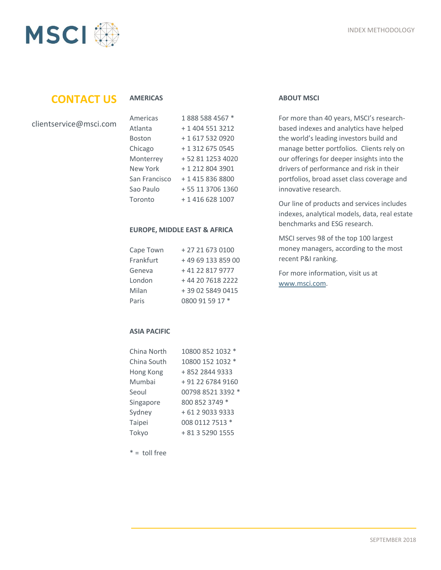

## **CONTACT US**

### **AMERICAS**

clientservice@msci.com

| Americas      | 18885884567 *     |
|---------------|-------------------|
| Atlanta       | + 1 404 551 3212  |
| Boston        | + 1 617 532 0920  |
| Chicago       | + 1 312 675 0545  |
| Monterrey     | +52 81 1253 4020  |
| New York      | + 1 212 804 3901  |
| San Francisco | +1 415 836 8800   |
| Sao Paulo     | + 55 11 3706 1360 |
| Toronto       | + 1 416 628 1007  |

### **EUROPE, MIDDLE EAST & AFRICA**

| Cape Town | + 27 21 673 0100  |
|-----------|-------------------|
| Frankfurt | +49 69 133 859 00 |
| Geneva    | +41 22 817 9777   |
| London    | +44 20 7618 2222  |
| Milan     | +39 02 5849 0415  |
| Paris     | 0800 91 59 17 *   |

### **ABOUT MSCI**

For more than 40 years, MSCI's researchbased indexes and analytics have helped the world's leading investors build and manage better portfolios. Clients rely on our offerings for deeper insights into the drivers of performance and risk in their portfolios, broad asset class coverage and innovative research.

Our line of products and services includes indexes, analytical models, data, real estate benchmarks and ESG research.

MSCI serves 98 of the top 100 largest money managers, according to the most recent P&I ranking.

For more information, visit us at [www.msci.com.](http://www.msci.com/)

### **ASIA PACIFIC**

| China North | 10800 852 1032 *  |
|-------------|-------------------|
| China South | 10800 152 1032 *  |
| Hong Kong   | + 852 2844 9333   |
| Mumbai      | +91 22 6784 9160  |
| Seoul       | 00798 8521 3392 * |
| Singapore   | 800 852 3749 *    |
| Sydney      | +61 290339333     |
| Taipei      | 008 0112 7513 *   |
| Tokyo       | + 81 3 5290 1555  |

 $* =$  toll free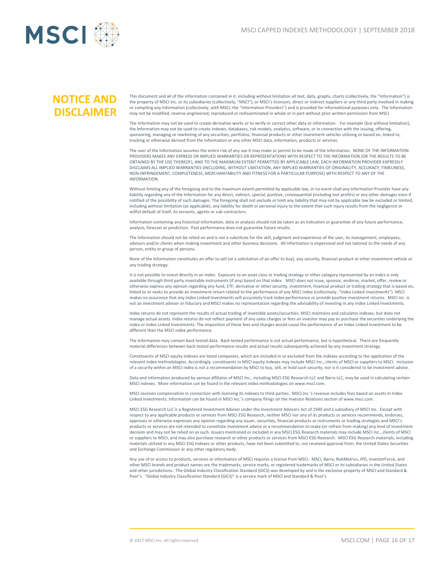

# **NOTICE AND DISCLAIMER**

This document and all of the information contained in it, including without limitation all text, data, graphs, charts (collectively, the "Information") is the property of MSCI Inc. or its subsidiaries (collectively, "MSCI"), or MSCI's licensors, direct or indirect suppliers or any third party involved in making or compiling any Information (collectively, with MSCI, the "Information Providers") and is provided for informational purposes only. The Information may not be modified, reverse-engineered, reproduced or redisseminated in whole or in part without prior written permission from MSCI.

The Information may not be used to create derivative works or to verify or correct other data or information. For example (but without limitation), the Information may not be used to create indexes, databases, risk models, analytics, software, or in connection with the issuing, offering, sponsoring, managing or marketing of any securities, portfolios, financial products or other investment vehicles utilizing or based on, linked to, tracking or otherwise derived from the Information or any other MSCI data, information, products or services.

The user of the Information assumes the entire risk of any use it may make or permit to be made of the Information. NONE OF THE INFORMATION PROVIDERS MAKES ANY EXPRESS OR IMPLIED WARRANTIES OR REPRESENTATIONS WITH RESPECT TO THE INFORMATION (OR THE RESULTS TO BE OBTAINED BY THE USE THEREOF), AND TO THE MAXIMUM EXTENT PERMITTED BY APPLICABLE LAW, EACH INFORMATION PROVIDER EXPRESSLY DISCLAIMS ALL IMPLIED WARRANTIES (INCLUDING, WITHOUT LIMITATION, ANY IMPLIED WARRANTIES OF ORIGINALITY, ACCURACY, TIMELINESS, NON-INFRINGEMENT, COMPLETENESS, MERCHANTABILITY AND FITNESS FOR A PARTICULAR PURPOSE) WITH RESPECT TO ANY OF THE INFORMATION.

Without limiting any of the foregoing and to the maximum extent permitted by applicable law, in no event shall any Information Provider have any liability regarding any of the Information for any direct, indirect, special, punitive, consequential (including lost profits) or any other damages even if notified of the possibility of such damages. The foregoing shall not exclude or limit any liability that may not by applicable law be excluded or limited, including without limitation (as applicable), any liability for death or personal injury to the extent that such injury results from the negligence or willful default of itself, its servants, agents or sub-contractors.

Information containing any historical information, data or analysis should not be taken as an indication or guarantee of any future performance, analysis, forecast or prediction. Past performance does not guarantee future results.

The Information should not be relied on and is not a substitute for the skill, judgment and experience of the user, its management, employees, advisors and/or clients when making investment and other business decisions. All Information is impersonal and not tailored to the needs of any person, entity or group of persons.

None of the Information constitutes an offer to sell (or a solicitation of an offer to buy), any security, financial product or other investment vehicle or any trading strategy.

It is not possible to invest directly in an index. Exposure to an asset class or trading strategy or other category represented by an index is only available through third party investable instruments (if any) based on that index. MSCI does not issue, sponsor, endorse, market, offer, review or otherwise express any opinion regarding any fund, ETF, derivative or other security, investment, financial product or trading strategy that is based on, linked to or seeks to provide an investment return related to the performance of any MSCI index (collectively, "Index Linked Investments"). MSCI makes no assurance that any Index Linked Investments will accurately track index performance or provide positive investment returns. MSCI Inc. is not an investment adviser or fiduciary and MSCI makes no representation regarding the advisability of investing in any Index Linked Investments.

Index returns do not represent the results of actual trading of investible assets/securities. MSCI maintains and calculates indexes, but does not manage actual assets. Index returns do not reflect payment of any sales charges or fees an investor may pay to purchase the securities underlying the index or Index Linked Investments. The imposition of these fees and charges would cause the performance of an Index Linked Investment to be different than the MSCI index performance.

The Information may contain back tested data. Back-tested performance is not actual performance, but is hypothetical. There are frequently material differences between back tested performance results and actual results subsequently achieved by any investment strategy.

Constituents of MSCI equity indexes are listed companies, which are included in or excluded from the indexes according to the application of the relevant index methodologies. Accordingly, constituents in MSCI equity indexes may include MSCI Inc., clients of MSCI or suppliers to MSCI. Inclusion of a security within an MSCI index is not a recommendation by MSCI to buy, sell, or hold such security, nor is it considered to be investment advice.

Data and information produced by various affiliates of MSCI Inc., including MSCI ESG Research LLC and Barra LLC, may be used in calculating certain MSCI indexes. More information can be found in the relevant index methodologies on www.msci.com.

MSCI receives compensation in connection with licensing its indexes to third parties. MSCI Inc.'s revenue includes fees based on assets in Index Linked Investments. Information can be found in MSCI Inc.'s company filings on the Investor Relations section of www.msci.com.

MSCI ESG Research LLC is a Registered Investment Adviser under the Investment Advisers Act of 1940 and a subsidiary of MSCI Inc. Except with respect to any applicable products or services from MSCI ESG Research, neither MSCI nor any of its products or services recommends, endorses, approves or otherwise expresses any opinion regarding any issuer, securities, financial products or instruments or trading strategies and MSCI's products or services are not intended to constitute investment advice or a recommendation to make (or refrain from making) any kind of investment decision and may not be relied on as such. Issuers mentioned or included in any MSCI ESG Research materials may include MSCI Inc., clients of MSCI or suppliers to MSCI, and may also purchase research or other products or services from MSCI ESG Research. MSCI ESG Research materials, including materials utilized in any MSCI ESG Indexes or other products, have not been submitted to, nor received approval from, the United States Securities and Exchange Commission or any other regulatory body.

Any use of or access to products, services or information of MSCI requires a license from MSCI. MSCI, Barra, RiskMetrics, IPD, InvestorForce, and other MSCI brands and product names are the trademarks, service marks, or registered trademarks of MSCI or its subsidiaries in the United States and other jurisdictions. The Global Industry Classification Standard (GICS) was developed by and is the exclusive property of MSCI and Standard & Poor's. "Global Industry Classification Standard (GICS)" is a service mark of MSCI and Standard & Poor's.